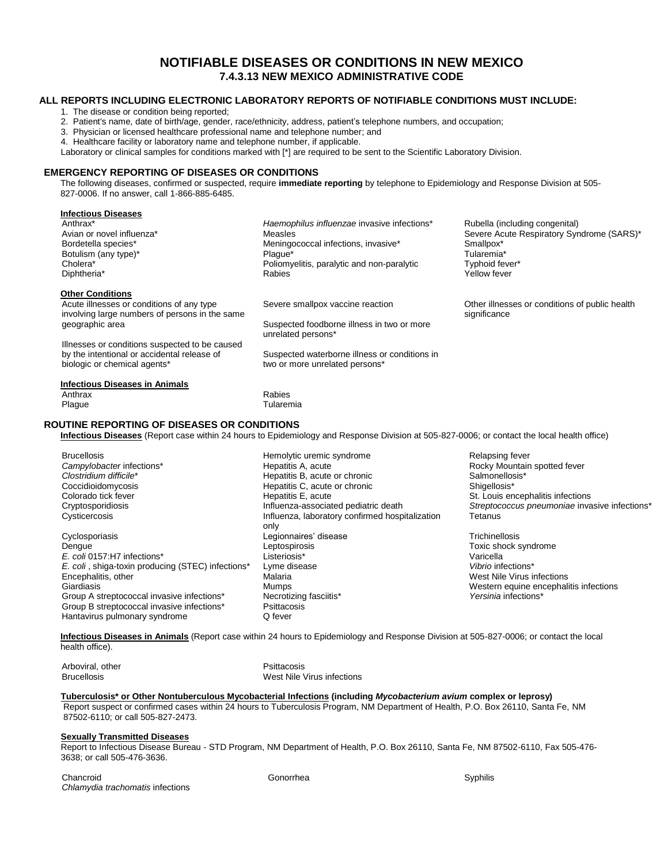# **NOTIFIABLE DISEASES OR CONDITIONS IN NEW MEXICO 7.4.3.13 NEW MEXICO ADMINISTRATIVE CODE**

# **ALL REPORTS INCLUDING ELECTRONIC LABORATORY REPORTS OF NOTIFIABLE CONDITIONS MUST INCLUDE:**

1. The disease or condition being reported;

2. Patient's name, date of birth/age, gender, race/ethnicity, address, patient's telephone numbers, and occupation;

3. Physician or licensed healthcare professional name and telephone number; and

4. Healthcare facility or laboratory name and telephone number, if applicable.

Laboratory or clinical samples for conditions marked with [\*] are required to be sent to the Scientific Laboratory Division.

# **EMERGENCY REPORTING OF DISEASES OR CONDITIONS**

The following diseases, confirmed or suspected, require **immediate reporting** by telephone to Epidemiology and Response Division at 505- 827-0006. If no answer, call 1-866-885-6485.

# **Infectious Diseases**

Bordetella species\* The Controllection of Meningococcal infections, invasive\* Smallpox\* Smallpox\*

# **Other Conditions**

Acute illnesses or conditions of any type involving large numbers of persons in the same geographic area

Illnesses or conditions suspected to be caused by the intentional or accidental release of biologic or chemical agents\*

# **Infectious Diseases in Animals**

Botulism (any type)\* <br>Cholera\* Tularemia\* Poliomyelitis, paralytic and non-paralytic Typhoid fever\* Poliomyelitis, paralytic and non-paralytic Diphtheria\* Rabies Yellow fever

Severe smallpox vaccine reaction

Suspected foodborne illness in two or more unrelated persons\*

Suspected waterborne illness or conditions in two or more unrelated persons\*

Anthrax<sup>\*</sup> **Anthrax<sup>\*</sup>** *Haemophilus influenzae* invasive infections<sup>\*</sup> Rubella (including congenital)<br>Avian or novel influenza<sup>\*</sup> Physics of Measles Severe Acute Respiratory Syndrome (SARS)\*

> Other illnesses or conditions of public health significance

Anthrax Rabies Plague **Tularemia** 

# **ROUTINE REPORTING OF DISEASES OR CONDITIONS**

**Infectious Diseases** (Report case within 24 hours to Epidemiology and Response Division at 505-827-0006; or contact the local health office)

Campylobacter infections\* The example Hepatitis A, acute and the example of the Rocky Mountain spotted fever<br>
Clostridium difficile\* Clostridium difficile\* The example Hepatitis B, acute or chronic Coccidioidomycosis Hepatitis C, acute or chronic Shigellosis\* Colorado tick fever **Colorado tick fever** Hepatitis E, acute **Hepatitis E**, acute St. Louis encephalitis infections<br>Cryptosporidiosis **Streptococcus** pneumoniae inva Cryptosporidiosis **Cryptosporidiosis Influenza-associated pediatric death** *Streptococcus pneumoniae* invasive infections<sup>\*</sup><br>
Cysticercosis **Cysticercosis Influenza, laboratory confirmed hospitalization** Tetanus Cyclosporiasis Legionnaires' disease Trichinellosis *E. coli* 0157:H7 infections\* Listeriosis\* Listeriosis\* Lictual and *E. coli*, shiga-toxin producing (STEC) infections\* Lyme disease *E. coli* , shiga-toxin producing (STEC) infections\* Lyme disease *Vibrio* infections\* Giardiasis Mumps Mumps Mumps Mumps Mumps Western equine encephalitis infections<br>
Group A streptococcal invasive infections\* Necrotizing fasciitis\* The manus of the Versinia infections\* Corea Group A streptococcal invasive infections\* Necrotizing fasciitis\* *Yersinia* infections\* Group B streptococcal invasive infections\* Psittacosis<br>
Hantavirus pulmonary syndrome C fever Hantavirus pulmonary syndrome

- Brucellosis **Brucellosis** Hemolytic uremic syndrome<br>
Campylobacter infections<sup>\*</sup> The Rocky Mountain Hepatitis A, acute **Campylobacter infections Hepatitis B, acute or chronic** Influenza, laboratory confirmed hospitalization only Leptospirosis and the control of the control of the Leptospirosis Toxic shock syndrome<br>
Listeriosis\* Control of the Control of Toxic Shock syndrome
	- **Tetanus**
	- West Nile Virus infections

**Infectious Diseases in Animals** (Report case within 24 hours to Epidemiology and Response Division at 505-827-0006; or contact the local health office).

Arboviral, other **Participal Control** Psittacosis<br>Brucellosis **Provides Archite Control Control Control Control Control Control Control Control Control Control** 

West Nile Virus infections

# **Tuberculosis\* or Other Nontuberculous Mycobacterial Infections (including** *Mycobacterium avium* **complex or leprosy)**

Report suspect or confirmed cases within 24 hours to Tuberculosis Program, NM Department of Health, P.O. Box 26110, Santa Fe, NM 87502-6110; or call 505-827-2473.

# **Sexually Transmitted Diseases**

Report to Infectious Disease Bureau - STD Program, NM Department of Health, P.O. Box 26110, Santa Fe, NM 87502-6110, Fax 505-476- 3638; or call 505-476-3636.

Chancroid **Gonorrhea** Gonorrhea **Syphilis** *Chlamydia trachomatis* infections